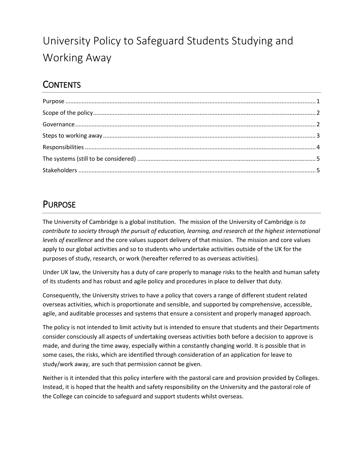# University Policy to Safeguard Students Studying and Working Away

# **CONTENTS**

### <span id="page-0-0"></span>PURPOSE

The University of Cambridge is a global institution. The mission of the University of Cambridge is *to contribute to society through the pursuit of education, learning, and research at the highest international levels of excellence* and the core values support delivery of that mission. The mission and core values apply to our global activities and so to students who undertake activities outside of the UK for the purposes of study, research, or work (hereafter referred to as overseas activities).

Under UK law, the University has a duty of care properly to manage risks to the health and human safety of its students and has robust and agile policy and procedures in place to deliver that duty.

Consequently, the University strives to have a policy that covers a range of different student related overseas activities, which is proportionate and sensible, and supported by comprehensive, accessible, agile, and auditable processes and systems that ensure a consistent and properly managed approach.

The policy is not intended to limit activity but is intended to ensure that students and their Departments consider consciously all aspects of undertaking overseas activities both before a decision to approve is made, and during the time away, especially within a constantly changing world. It is possible that in some cases, the risks, which are identified through consideration of an application for leave to study/work away, are such that permission cannot be given.

Neither is it intended that this policy interfere with the pastoral care and provision provided by Colleges. Instead, it is hoped that the health and safety responsibility on the University and the pastoral role of the College can coincide to safeguard and support students whilst overseas.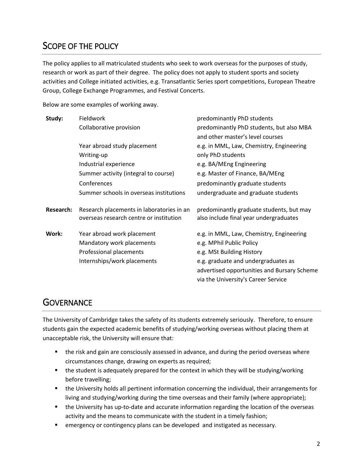### <span id="page-1-0"></span>SCOPE OF THE POLICY

The policy applies to all matriculated students who seek to work overseas for the purposes of study, research or work as part of their degree. The policy does not apply to student sports and society activities and College initiated activities, e.g. Transatlantic Series sport competitions, European Theatre Group, College Exchange Programmes, and Festival Concerts.

Below are some examples of working away.

| Study:           | Fieldwork                                                                            | predominantly PhD students                                                         |
|------------------|--------------------------------------------------------------------------------------|------------------------------------------------------------------------------------|
|                  | Collaborative provision                                                              | predominantly PhD students, but also MBA                                           |
|                  |                                                                                      | and other master's level courses                                                   |
|                  | Year abroad study placement                                                          | e.g. in MML, Law, Chemistry, Engineering                                           |
|                  | Writing-up                                                                           | only PhD students                                                                  |
|                  | Industrial experience                                                                | e.g. BA/MEng Engineering                                                           |
|                  | Summer activity (integral to course)                                                 | e.g. Master of Finance, BA/MEng                                                    |
|                  | Conferences                                                                          | predominantly graduate students                                                    |
|                  | Summer schools in overseas institutions                                              | undergraduate and graduate students                                                |
| <b>Research:</b> | Research placements in laboratories in an<br>overseas research centre or institution | predominantly graduate students, but may<br>also include final year undergraduates |
| Work:            | Year abroad work placement                                                           | e.g. in MML, Law, Chemistry, Engineering                                           |
|                  | Mandatory work placements                                                            | e.g. MPhil Public Policy                                                           |
|                  | Professional placements                                                              | e.g. MSt Building History                                                          |
|                  | Internships/work placements                                                          | e.g. graduate and undergraduates as                                                |
|                  |                                                                                      | advertised opportunities and Bursary Scheme                                        |
|                  |                                                                                      | via the University's Career Service                                                |

### <span id="page-1-1"></span>**GOVERNANCE**

The University of Cambridge takes the safety of its students extremely seriously. Therefore, to ensure students gain the expected academic benefits of studying/working overseas without placing them at unacceptable risk, the University will ensure that:

- the risk and gain are consciously assessed in advance, and during the period overseas where circumstances change, drawing on experts as required;
- the student is adequately prepared for the context in which they will be studying/working before travelling;
- the University holds all pertinent information concerning the individual, their arrangements for living and studying/working during the time overseas and their family (where appropriate);
- the University has up-to-date and accurate information regarding the location of the overseas activity and the means to communicate with the student in a timely fashion;
- **EXECT** emergency or contingency plans can be developed and instigated as necessary.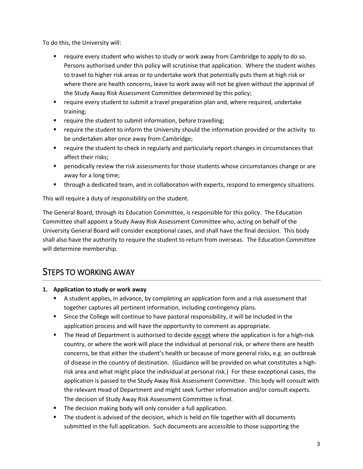To do this, the University will:

- require every student who wishes to study or work away from Cambridge to apply to do so. Persons authorised under this policy will scrutinise that application. Where the student wishes to travel to higher risk areas or to undertake work that potentially puts them at high risk or where there are health concerns, leave to work away will not be given without the approval of the Study Away Risk Assessment Committee determined by this policy;
- require every student to submit a travel preparation plan and, where required, undertake training;
- **•** require the student to submit information, before travelling;
- require the student to inform the University should the information provided or the activity to be undertaken alter once away from Cambridge;
- **•** require the student to check in regularly and particularly report changes in circumstances that affect their risks;
- **Periodically review the risk assessments for those students whose circumstances change or are** away for a long time;
- **through a dedicated team, and in collaboration with experts, respond to emergency situations.**

This will require a duty of responsibility on the student.

The General Board, through its Education Committee, is responsible for this policy. The Education Committee shall appoint a Study Away Risk Assessment Committee who, acting on behalf of the University General Board will consider exceptional cases, and shall have the final decision. This body shall also have the authority to require the student to return from overseas. The Education Committee will determine membership.

### <span id="page-2-0"></span>STEPS TO WORKING AWAY

- **1. Application to study or work away**
	- A student applies, in advance, by completing an application form and a risk assessment that together captures all pertinent information, including contingency plans.
	- Since the College will continue to have pastoral responsibility, it will be included in the application process and will have the opportunity to comment as appropriate.
	- The Head of Department is authorised to decide except where the application is for a high-risk country, or where the work will place the individual at personal risk, or where there are health concerns, be that either the student's health or because of more general risks, e.g. an outbreak of disease in the country of destination. (Guidance will be provided on what constitutes a highrisk area and what might place the individual at personal risk.) For these exceptional cases, the application is passed to the Study Away Risk Assessment Committee. This body will consult with the relevant Head of Department and might seek further information and/or consult experts. The decision of Study Away Risk Assessment Committee is final.
	- **The decision making body will only consider a full application.**
	- **The student is advised of the decision, which is held on file together with all documents** submitted in the full application. Such documents are accessible to those supporting the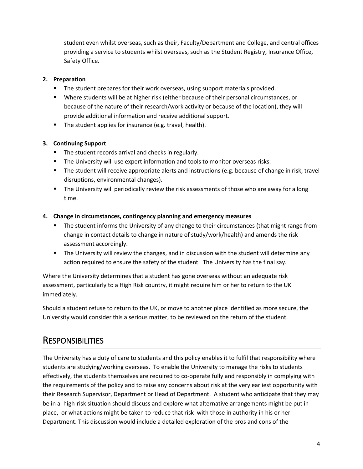student even whilst overseas, such as their, Faculty/Department and College, and central offices providing a service to students whilst overseas, such as the Student Registry, Insurance Office, Safety Office.

#### **2. Preparation**

- **The student prepares for their work overseas, using support materials provided.**
- Where students will be at higher risk (either because of their personal circumstances, or because of the nature of their research/work activity or because of the location), they will provide additional information and receive additional support.
- The student applies for insurance (e.g. travel, health).

#### **3. Continuing Support**

- **The student records arrival and checks in regularly.**
- **The University will use expert information and tools to monitor overseas risks.**
- The student will receive appropriate alerts and instructions (e.g. because of change in risk, travel disruptions, environmental changes).
- **The University will periodically review the risk assessments of those who are away for a long** time.

#### **4. Change in circumstances, contingency planning and emergency measures**

- **The student informs the University of any change to their circumstances (that might range from** change in contact details to change in nature of study/work/health) and amends the risk assessment accordingly.
- **The University will review the changes, and in discussion with the student will determine any** action required to ensure the safety of the student. The University has the final say.

Where the University determines that a student has gone overseas without an adequate risk assessment, particularly to a High Risk country, it might require him or her to return to the UK immediately.

Should a student refuse to return to the UK, or move to another place identified as more secure, the University would consider this a serious matter, to be reviewed on the return of the student.

### <span id="page-3-0"></span>**RESPONSIBILITIES**

The University has a duty of care to students and this policy enables it to fulfil that responsibility where students are studying/working overseas. To enable the University to manage the risks to students effectively, the students themselves are required to co-operate fully and responsibly in complying with the requirements of the policy and to raise any concerns about risk at the very earliest opportunity with their Research Supervisor, Department or Head of Department. A student who anticipate that they may be in a high-risk situation should discuss and explore what alternative arrangements might be put in place, or what actions might be taken to reduce that risk with those in authority in his or her Department. This discussion would include a detailed exploration of the pros and cons of the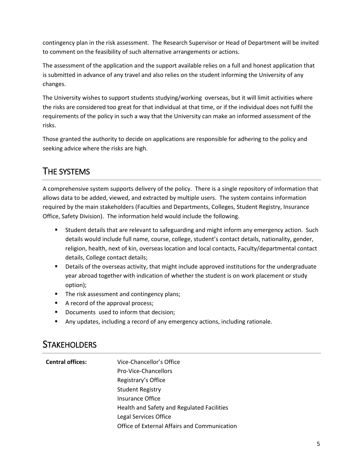contingency plan in the risk assessment. The Research Supervisor or Head of Department will be invited to comment on the feasibility of such alternative arrangements or actions.

The assessment of the application and the support available relies on a full and honest application that is submitted in advance of any travel and also relies on the student informing the University of any changes.

The University wishes to support students studying/working overseas, but it will limit activities where the risks are considered too great for that individual at that time, or if the individual does not fulfil the requirements of the policy in such a way that the University can make an informed assessment of the risks.

Those granted the authority to decide on applications are responsible for adhering to the policy and seeking advice where the risks are high.

# <span id="page-4-0"></span>THE SYSTEMS

A comprehensive system supports delivery of the policy. There is a single repository of information that allows data to be added, viewed, and extracted by multiple users. The system contains information required by the main stakeholders (Faculties and Departments, Colleges, Student Registry, Insurance Office, Safety Division). The information held would include the following.

- Student details that are relevant to safeguarding and might inform any emergency action. Such details would include full name, course, college, student's contact details, nationality, gender, religion, health, next of kin, overseas location and local contacts, Faculty/departmental contact details, College contact details;
- **•** Details of the overseas activity, that might include approved institutions for the undergraduate year abroad together with indication of whether the student is on work placement or study option);
- The risk assessment and contingency plans;
- A record of the approval process;
- Documents used to inform that decision;
- Any updates, including a record of any emergency actions, including rationale.

### <span id="page-4-1"></span>**STAKEHOLDERS**

| <b>Central offices:</b> | Vice-Chancellor's Office                     |
|-------------------------|----------------------------------------------|
|                         | Pro-Vice-Chancellors                         |
|                         | Registrary's Office                          |
|                         | <b>Student Registry</b>                      |
|                         | Insurance Office                             |
|                         | Health and Safety and Regulated Facilities   |
|                         | Legal Services Office                        |
|                         | Office of External Affairs and Communication |